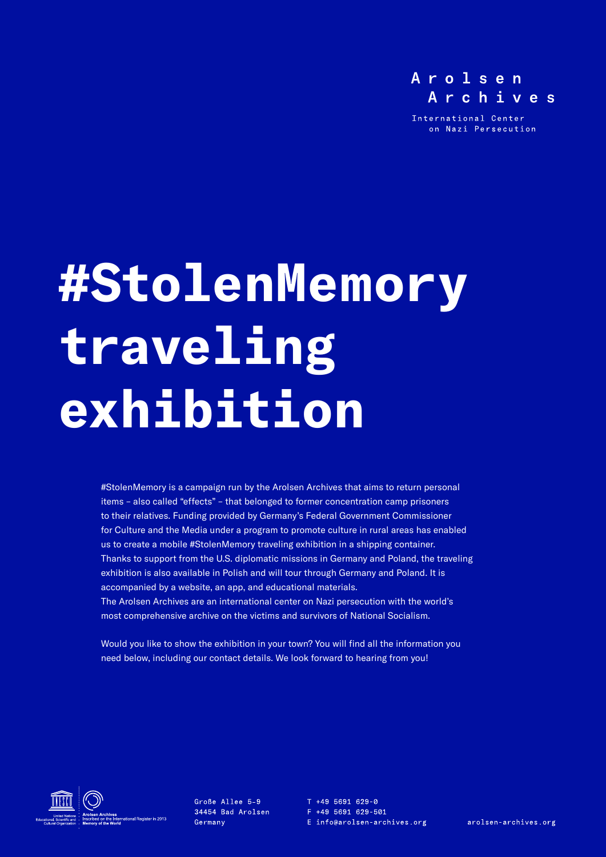

International Center on Nazi Persecution

# **#StolenMemory traveling exhibition**

#StolenMemory is a campaign run by the Arolsen Archives that aims to return personal items – also called "effects" – that belonged to former concentration camp prisoners to their relatives. Funding provided by Germany's Federal Government Commissioner for Culture and the Media under a program to promote culture in rural areas has enabled us to create a mobile #StolenMemory traveling exhibition in a shipping container. Thanks to support from the U.S. diplomatic missions in Germany and Poland, the traveling exhibition is also available in Polish and will tour through Germany and Poland. It is accompanied by a website, an app, and educational materials. The Arolsen Archives are an international center on Nazi persecution with the world's most comprehensive archive on the victims and survivors of National Socialism.

Would you like to show the exhibition in your town? You will find all the information you need below, including our contact details. We look forward to hearing from you!



Große Allee 5-9 34454 Bad Arolsen Germany

 $T + 495691629 - 0$ F +49 5691 629-501 E info@arolsen-archives.org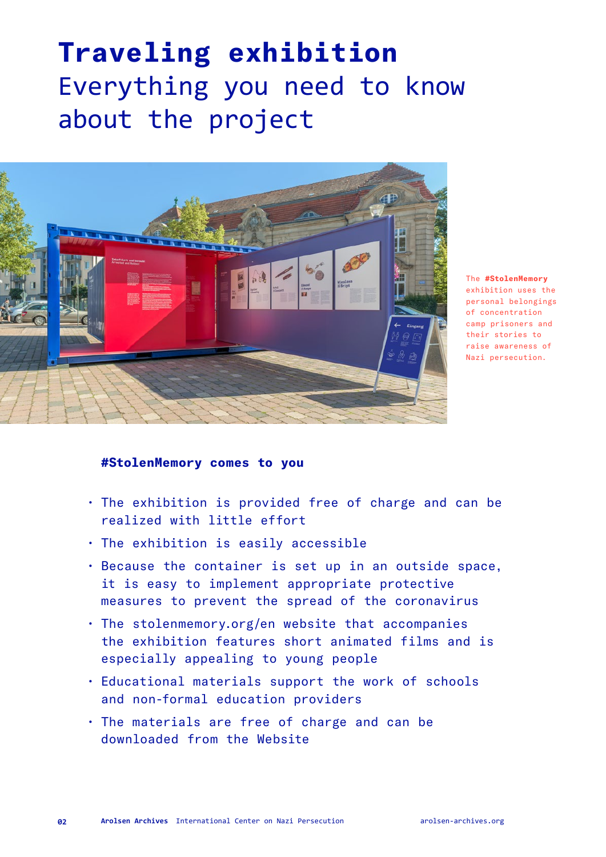## **Traveling exhibition**  Everything you need to know about the project



The **#StolenMemory** exhibition uses the personal belongings of concentration camp prisoners and their stories to raise awareness of Nazi persecution.

#### **#StolenMemory comes to you**

- The exhibition is provided free of charge and can be realized with little effort
- The exhibition is easily accessible
- Because the container is set up in an outside space, it is easy to implement appropriate protective measures to prevent the spread of the coronavirus
- The [stolenmemory.org/en](http://stolenmemory.org/en) website that accompanies the exhibition features short animated films and is especially appealing to young people
- Educational materials support the work of schools and non-formal education providers
- The materials are free of charge and can be downloaded from the Website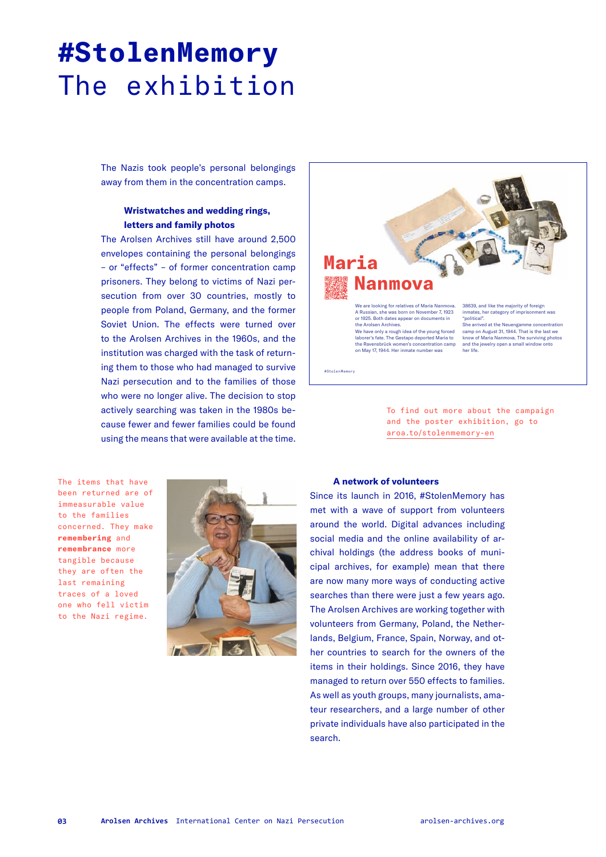## **#StolenMemory**  The exhibition

The Nazis took people's personal belongings away from them in the concentration camps.

#### **Wristwatches and wedding rings, letters and family photos**

The Arolsen Archives still have around 2,500 envelopes containing the personal belongings – or "effects" – of former concentration camp prisoners. They belong to victims of Nazi persecution from over 30 countries, mostly to people from Poland, Germany, and the former Soviet Union. The effects were turned over to the Arolsen Archives in the 1960s, and the institution was charged with the task of returning them to those who had managed to survive Nazi persecution and to the families of those who were no longer alive. The decision to stop actively searching was taken in the 1980s because fewer and fewer families could be found using the means that were available at the time.



To find out more about the campaign and the poster exhibition, go to [aroa.to/stolenmemory-en](http://aroa.to/stolenmemory-en)

The items that have been returned are of immeasurable value to the families concerned. They make **remembering** and **remembrance** more tangible because they are often the last remaining traces of a loved one who fell victim to the Nazi regime.



#### **A network of volunteers**

Since its launch in 2016, #StolenMemory has met with a wave of support from volunteers around the world. Digital advances including social media and the online availability of archival holdings (the address books of municipal archives, for example) mean that there are now many more ways of conducting active searches than there were just a few years ago. The Arolsen Archives are working together with volunteers from Germany, Poland, the Netherlands, Belgium, France, Spain, Norway, and other countries to search for the owners of the items in their holdings. Since 2016, they have managed to return over 550 effects to families. As well as youth groups, many journalists, amateur researchers, and a large number of other private individuals have also participated in the search.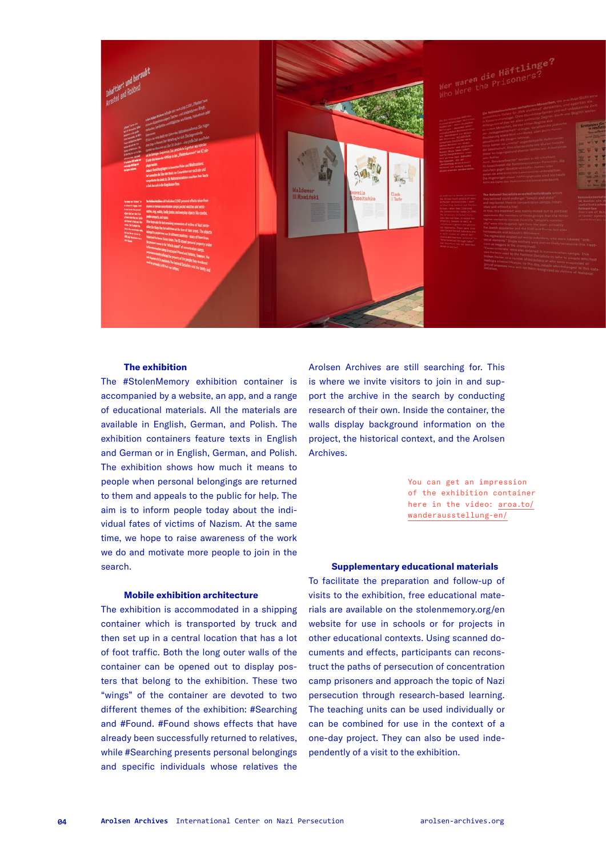

#### **The exhibition**

The #StolenMemory exhibition container is accompanied by a website, an app, and a range of educational materials. All the materials are available in English, German, and Polish. The exhibition containers feature texts in English and German or in English, German, and Polish. The exhibition shows how much it means to people when personal belongings are returned to them and appeals to the public for help. The aim is to inform people today about the individual fates of victims of Nazism. At the same time, we hope to raise awareness of the work we do and motivate more people to join in the search.

#### **Mobile exhibition architecture**

The exhibition is accommodated in a shipping container which is transported by truck and then set up in a central location that has a lot of foot traffic. Both the long outer walls of the container can be opened out to display posters that belong to the exhibition. These two "wings" of the container are devoted to two different themes of the exhibition: #Searching and #Found. #Found shows effects that have already been successfully returned to relatives, while #Searching presents personal belongings and specific individuals whose relatives the

Arolsen Archives are still searching for. This is where we invite visitors to join in and support the archive in the search by conducting research of their own. Inside the container, the walls display background information on the project, the historical context, and the Arolsen Archives.

> You can get an impression of the exhibition container here in the video: [aroa.to/](http://aroa.to/wanderausstellung-en/) [wanderausstellung-en/](http://aroa.to/wanderausstellung-en/)

#### **Supplementary educational materials**

To facilitate the preparation and follow-up of visits to the exhibition, free educational materials are available on the [stolenmemory.org/en](http://stolenmemory.org/en ) website for use in schools or for projects in other educational contexts. Using scanned documents and effects, participants can reconstruct the paths of persecution of concentration camp prisoners and approach the topic of Nazi persecution through research-based learning. The teaching units can be used individually or can be combined for use in the context of a one-day project. They can also be used independently of a visit to the exhibition.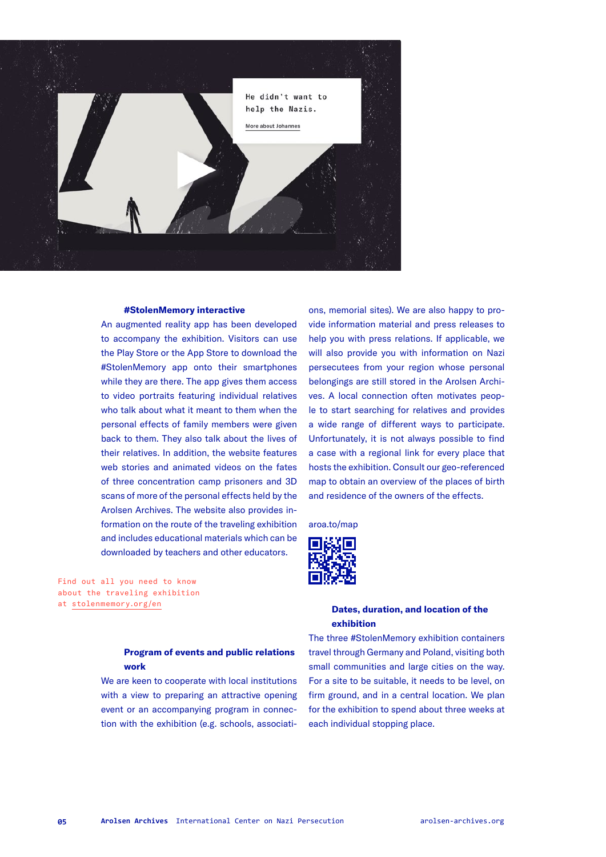

#### **#StolenMemory interactive**

An augmented reality app has been developed to accompany the exhibition. Visitors can use the Play Store or the App Store to download the #StolenMemory app onto their smartphones while they are there. The app gives them access to video portraits featuring individual relatives who talk about what it meant to them when the personal effects of family members were given back to them. They also talk about the lives of their relatives. In addition, the website features web stories and animated videos on the fates of three concentration camp prisoners and 3D scans of more of the personal effects held by the Arolsen Archives. The website also provides information on the route of the traveling exhibition and includes educational materials which can be downloaded by teachers and other educators.

Find out all you need to know about the traveling exhibition at [stolenmemory.org/en](http://stolenmemory.org/en)

ons, memorial sites). We are also happy to provide information material and press releases to help you with press relations. If applicable, we will also provide you with information on Nazi persecutees from your region whose personal belongings are still stored in the Arolsen Archives. A local connection often motivates people to start searching for relatives and provides a wide range of different ways to participate. Unfortunately, it is not always possible to find a case with a regional link for every place that hosts the exhibition. Consult our geo-referenced map to obtain an overview of the places of birth and residence of the owners of the effects.

[aroa.to/map](http://aroa.to/map)



#### **Dates, duration, and location of the exhibition**

The three #StolenMemory exhibition containers travel through Germany and Poland, visiting both small communities and large cities on the way. For a site to be suitable, it needs to be level, on firm ground, and in a central location. We plan for the exhibition to spend about three weeks at each individual stopping place.

#### **Program of events and public relations work**

We are keen to cooperate with local institutions with a view to preparing an attractive opening event or an accompanying program in connection with the exhibition (e.g. schools, associati-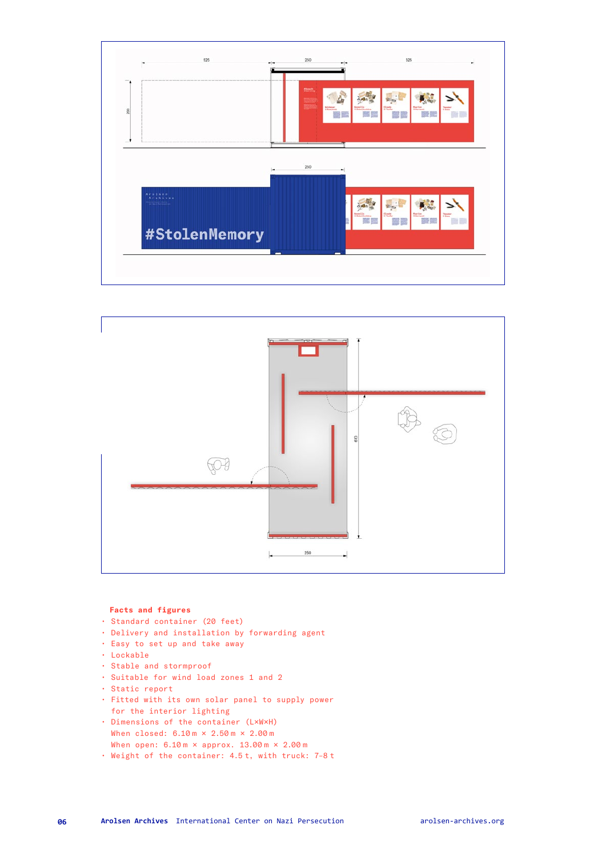



#### **Facts and figures**

- Standard container (20 feet)
- Delivery and installation by forwarding agent
- Easy to set up and take away
- Lockable
- Stable and stormproof
- Suitable for wind load zones 1 and 2
- Static report
- Fitted with its own solar panel to supply power for the interior lighting
- Dimensions of the container (L×W×H) When closed: 6.10 m × 2.50 m × 2.00 m When open:  $6.10 \text{ m} \times \text{approx. } 13.00 \text{ m} \times 2.00 \text{ m}$
- Weight of the container: 4.5 t, with truck: 7–8 t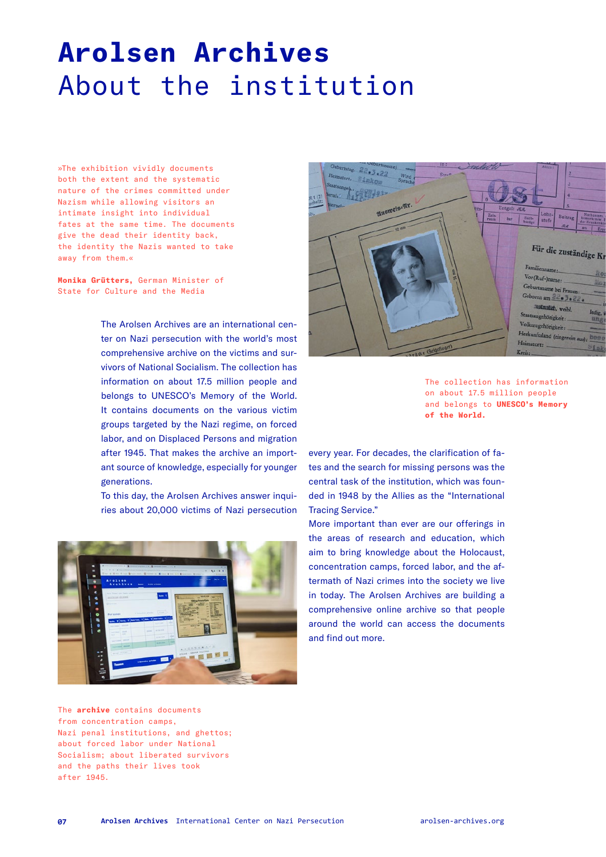### **Arolsen Archives**  About the institution

»The exhibition vividly documents both the extent and the systematic nature of the crimes committed under Nazism while allowing visitors an intimate insight into individual fates at the same time. The documents give the dead their identity back, the identity the Nazis wanted to take away from them.«

**Monika Grütters,** German Minister of State for Culture and the Media

> The Arolsen Archives are an international center on Nazi persecution with the world's most comprehensive archive on the victims and survivors of National Socialism. The collection has information on about 17.5 million people and belongs to UNESCO's Memory of the World. It contains documents on the various victim groups targeted by the Nazi regime, on forced labor, and on Displaced Persons and migration after 1945. That makes the archive an important source of knowledge, especially for younger generations.

> To this day, the Arolsen Archives answer inquiries about 20,000 victims of Nazi persecution





The collection has information on about 17.5 million people and belongs to **UNESCO's Memory of the World.**

every year. For decades, the clarification of fates and the search for missing persons was the central task of the institution, which was founded in 1948 by the Allies as the "International Tracing Service."

More important than ever are our offerings in the areas of research and education, which aim to bring knowledge about the Holocaust, concentration camps, forced labor, and the aftermath of Nazi crimes into the society we live in today. The Arolsen Archives are building a comprehensive online archive so that people around the world can access the documents and find out more.

The **archive** contains documents from concentration camps, Nazi penal institutions, and ghettos; about forced labor under National Socialism; about liberated survivors and the paths their lives took after 1945.